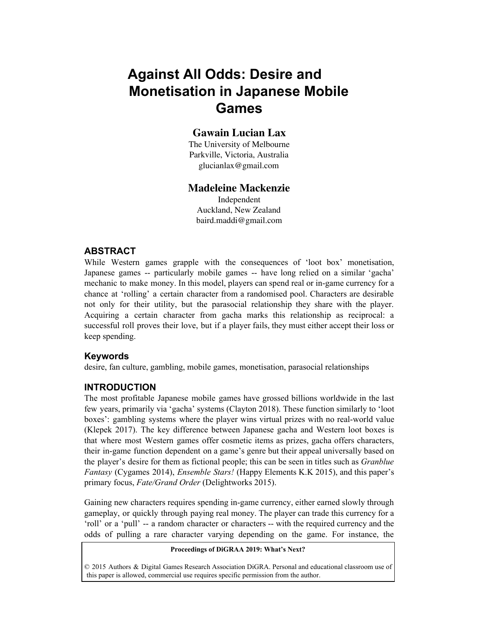# **Against All Odds: Desire and Monetisation in Japanese Mobile Games**

# **Gawain Lucian Lax**

The University of Melbourne Parkville, Victoria, Australia glucianlax@gmail.com

### **Madeleine Mackenzie**

Independent Auckland, New Zealand baird.maddi@gmail.com

# **ABSTRACT**

While Western games grapple with the consequences of 'loot box' monetisation, Japanese games -- particularly mobile games -- have long relied on a similar 'gacha' mechanic to make money. In this model, players can spend real or in-game currency for a chance at 'rolling' a certain character from a randomised pool. Characters are desirable not only for their utility, but the parasocial relationship they share with the player. Acquiring a certain character from gacha marks this relationship as reciprocal: a successful roll proves their love, but if a player fails, they must either accept their loss or keep spending.

# **Keywords**

desire, fan culture, gambling, mobile games, monetisation, parasocial relationships

#### **INTRODUCTION**

The most profitable Japanese mobile games have grossed billions worldwide in the last few years, primarily via 'gacha' systems (Clayton 2018). These function similarly to 'loot boxes': gambling systems where the player wins virtual prizes with no real-world value (Klepek 2017). The key difference between Japanese gacha and Western loot boxes is that where most Western games offer cosmetic items as prizes, gacha offers characters, their in-game function dependent on a game's genre but their appeal universally based on the player's desire for them as fictional people; this can be seen in titles such as *Granblue Fantasy* (Cygames 2014), *Ensemble Stars!* (Happy Elements K.K 2015), and this paper's primary focus, *Fate/Grand Order* (Delightworks 2015).

Gaining new characters requires spending in-game currency, either earned slowly through gameplay, or quickly through paying real money. The player can trade this currency for a 'roll' or a 'pull' -- a random character or characters -- with the required currency and the odds of pulling a rare character varying depending on the game. For instance, the

#### **Proceedings of DiGRAA 2019: What's Next?**

© 2015 Authors & Digital Games Research Association DiGRA. Personal and educational classroom use of this paper is allowed, commercial use requires specific permission from the author.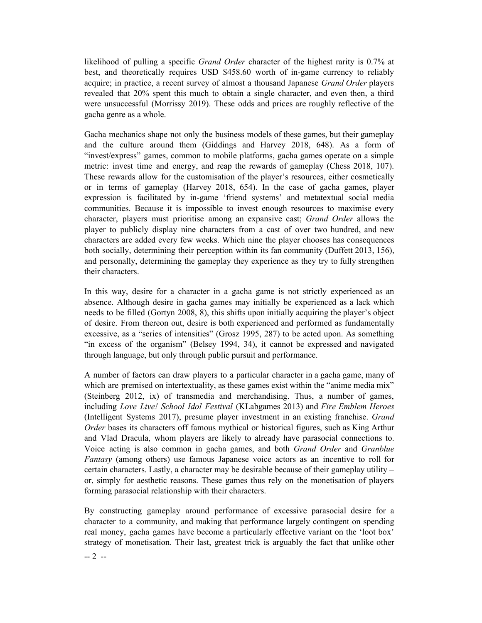likelihood of pulling a specific *Grand Order* character of the highest rarity is 0.7% at best, and theoretically requires USD \$458.60 worth of in-game currency to reliably acquire; in practice, a recent survey of almost a thousand Japanese *Grand Order* players revealed that 20% spent this much to obtain a single character, and even then, a third were unsuccessful (Morrissy 2019). These odds and prices are roughly reflective of the gacha genre as a whole.

Gacha mechanics shape not only the business models of these games, but their gameplay and the culture around them (Giddings and Harvey 2018, 648). As a form of "invest/express" games, common to mobile platforms, gacha games operate on a simple metric: invest time and energy, and reap the rewards of gameplay (Chess 2018, 107). These rewards allow for the customisation of the player's resources, either cosmetically or in terms of gameplay (Harvey 2018, 654). In the case of gacha games, player expression is facilitated by in-game 'friend systems' and metatextual social media communities. Because it is impossible to invest enough resources to maximise every character, players must prioritise among an expansive cast; *Grand Order* allows the player to publicly display nine characters from a cast of over two hundred, and new characters are added every few weeks. Which nine the player chooses has consequences both socially, determining their perception within its fan community (Duffett 2013, 156), and personally, determining the gameplay they experience as they try to fully strengthen their characters.

In this way, desire for a character in a gacha game is not strictly experienced as an absence. Although desire in gacha games may initially be experienced as a lack which needs to be filled (Gortyn 2008, 8), this shifts upon initially acquiring the player's object of desire. From thereon out, desire is both experienced and performed as fundamentally excessive, as a "series of intensities" (Grosz 1995, 287) to be acted upon. As something "in excess of the organism" (Belsey 1994, 34), it cannot be expressed and navigated through language, but only through public pursuit and performance.

A number of factors can draw players to a particular character in a gacha game, many of which are premised on intertextuality, as these games exist within the "anime media mix" (Steinberg 2012, ix) of transmedia and merchandising. Thus, a number of games, including *Love Live! School Idol Festival* (KLabgames 2013) and *Fire Emblem Heroes* (Intelligent Systems 2017), presume player investment in an existing franchise. *Grand Order* bases its characters off famous mythical or historical figures, such as King Arthur and Vlad Dracula, whom players are likely to already have parasocial connections to. Voice acting is also common in gacha games, and both *Grand Order* and *Granblue Fantasy* (among others) use famous Japanese voice actors as an incentive to roll for certain characters. Lastly, a character may be desirable because of their gameplay utility – or, simply for aesthetic reasons. These games thus rely on the monetisation of players forming parasocial relationship with their characters.

By constructing gameplay around performance of excessive parasocial desire for a character to a community, and making that performance largely contingent on spending real money, gacha games have become a particularly effective variant on the 'loot box' strategy of monetisation. Their last, greatest trick is arguably the fact that unlike other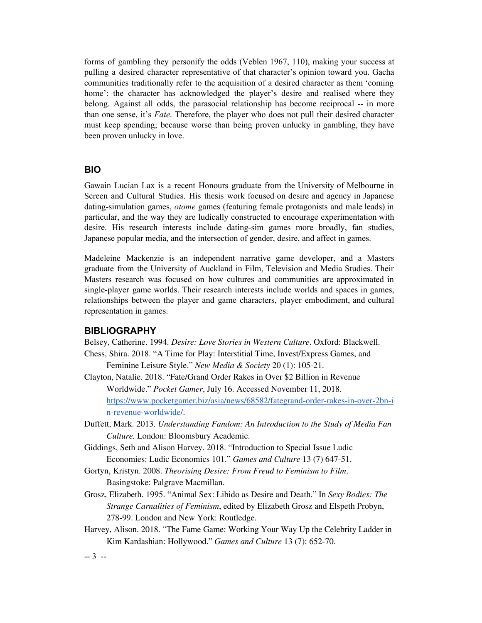forms of gambling they personify the odds (Veblen 1967, 110), making your success at pulling a desired character representative of that character's opinion toward you. Gacha communities traditionally refer to the acquisition of a desired character as them 'coming home': the character has acknowledged the player's desire and realised where they belong. Against all odds, the parasocial relationship has become reciprocal -- in more than one sense, it's *Fate*. Therefore, the player who does not pull their desired character must keep spending; because worse than being proven unlucky in gambling, they have been proven unlucky in love.

## **BIO**

Gawain Lucian Lax is a recent Honours graduate from the University of Melbourne in Screen and Cultural Studies. His thesis work focused on desire and agency in Japanese dating-simulation games, *otome* games (featuring female protagonists and male leads) in particular, and the way they are ludically constructed to encourage experimentation with desire. His research interests include dating-sim games more broadly, fan studies, Japanese popular media, and the intersection of gender, desire, and affect in games.

Madeleine Mackenzie is an independent narrative game developer, and a Masters graduate from the University of Auckland in Film, Television and Media Studies. Their Masters research was focused on how cultures and communities are approximated in single-player game worlds. Their research interests include worlds and spaces in games, relationships between the player and game characters, player embodiment, and cultural representation in games.

#### **BIBLIOGRAPHY**

Belsey, Catherine. 1994. *Desire: Love Stories in Western Culture*. Oxford: Blackwell. Chess, Shira. 2018. "A Time for Play: Interstitial Time, Invest/Express Games, and

Feminine Leisure Style." *New Media & Society* 20 (1): 105-21.

- Clayton, Natalie. 2018. "Fate/Grand Order Rakes in Over \$2 Billion in Revenue Worldwide." *Pocket Gamer*, July 16. Accessed November 11, 2018. [https://www.pocketgamer.biz/asia/news/68582/fategrand-order-rakes-in-over-2bn-i](https://www.pocketgamer.biz/asia/news/68582/fategrand-order-rakes-in-over-2bn-in-revenue-worldwide/) [n-revenue-worldwide/.](https://www.pocketgamer.biz/asia/news/68582/fategrand-order-rakes-in-over-2bn-in-revenue-worldwide/)
- Duffett, Mark. 2013. *Understanding Fandom: An Introduction to the Study of Media Fan Culture.* London: Bloomsbury Academic.
- Giddings, Seth and Alison Harvey. 2018. "Introduction to Special Issue Ludic Economies: Ludic Economics 101." *Games and Culture* 13 (7) 647-51.
- Gortyn, Kristyn. 2008. *Theorising Desire: From Freud to Feminism to Film*. Basingstoke: Palgrave Macmillan.
- Grosz, Elizabeth. 1995. "Animal Sex: Libido as Desire and Death." In *Sexy Bodies: The Strange Carnalities of Feminism*, edited by Elizabeth Grosz and Elspeth Probyn, 278-99. London and New York: Routledge.
- Harvey, Alison. 2018. "The Fame Game: Working Your Way Up the Celebrity Ladder in Kim Kardashian: Hollywood." *Games and Culture* 13 (7): 652-70.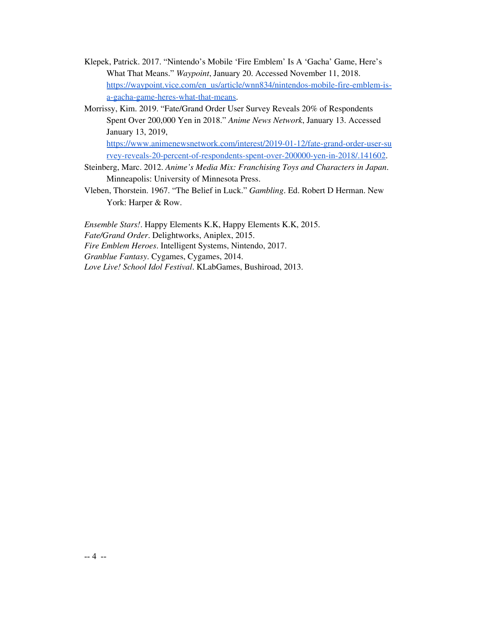- Klepek, Patrick. 2017. "Nintendo's Mobile 'Fire Emblem' Is A 'Gacha' Game, Here's What That Means." *Waypoint*, January 20. Accessed November 11, 2018. [https://waypoint.vice.com/en\\_us/article/wnn834/nintendos-mobile-fire-emblem-is](https://waypoint.vice.com/en_us/article/wnn834/nintendos-mobile-fire-emblem-is-a-gacha-game-heres-what-that-means)[a-gacha-game-heres-what-that-means.](https://waypoint.vice.com/en_us/article/wnn834/nintendos-mobile-fire-emblem-is-a-gacha-game-heres-what-that-means)
- Morrissy, Kim. 2019. "Fate/Grand Order User Survey Reveals 20% of Respondents Spent Over 200,000 Yen in 2018." *Anime News Network*, January 13. Accessed January 13, 2019, [https://www.animenewsnetwork.com/interest/2019-01-12/fate-grand-order-user-su](https://www.animenewsnetwork.com/interest/2019-01-12/fate-grand-order-user-survey-reveals-20-percent-of-respondents-spent-over-200000-yen-in-2018/.141602) [rvey-reveals-20-percent-of-respondents-spent-over-200000-yen-in-2018/.141602](https://www.animenewsnetwork.com/interest/2019-01-12/fate-grand-order-user-survey-reveals-20-percent-of-respondents-spent-over-200000-yen-in-2018/.141602).
- Steinberg, Marc. 2012. *Anime's Media Mix: Franchising Toys and Characters in Japan*. Minneapolis: University of Minnesota Press.
- Vleben, Thorstein. 1967. "The Belief in Luck." *Gambling*. Ed. Robert D Herman. New York: Harper & Row.

*Ensemble Stars!*. Happy Elements K.K, Happy Elements K.K, 2015. *Fate/Grand Order*. Delightworks, Aniplex, 2015. *Fire Emblem Heroes*. Intelligent Systems, Nintendo, 2017. *Granblue Fantasy*. Cygames, Cygames, 2014. *Love Live! School Idol Festival*. KLabGames, Bushiroad, 2013.